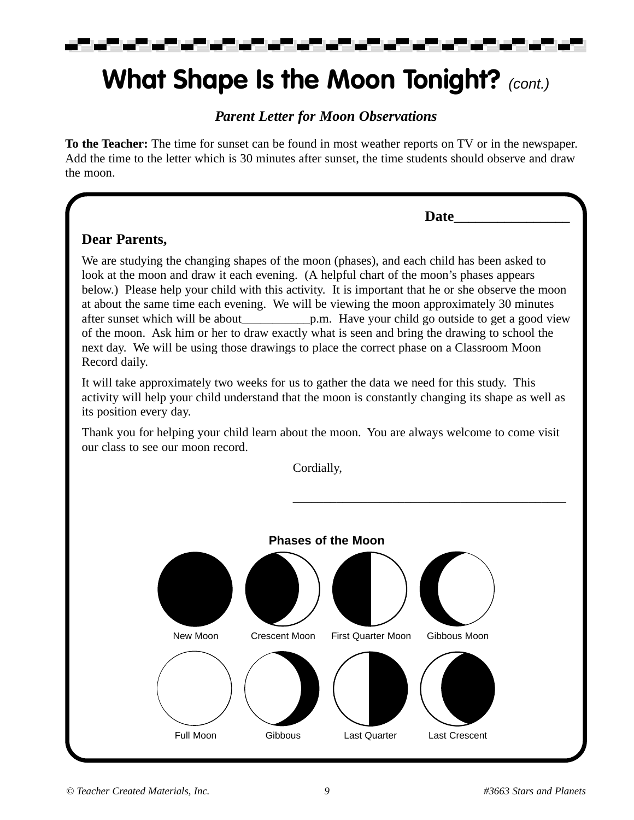**ASIMA** 

# **What Shape Is the Moon Tonight?** (cont.)

### *Parent Letter for Moon Observations*

**To the Teacher:** The time for sunset can be found in most weather reports on TV or in the newspaper. Add the time to the letter which is 30 minutes after sunset, the time students should observe and draw the moon.

#### **Date\_\_\_\_\_\_\_\_\_\_\_\_\_\_\_\_**

\_\_\_\_\_\_\_\_\_\_\_\_\_\_\_\_\_\_\_\_\_\_\_\_\_\_\_\_\_\_\_\_\_\_\_\_\_\_\_\_\_\_\_\_

### **Dear Parents,**

We are studying the changing shapes of the moon (phases), and each child has been asked to look at the moon and draw it each evening. (A helpful chart of the moon's phases appears below.) Please help your child with this activity. It is important that he or she observe the moon at about the same time each evening. We will be viewing the moon approximately 30 minutes after sunset which will be about\_\_\_\_\_\_\_\_\_\_\_p.m. Have your child go outside to get a good view of the moon. Ask him or her to draw exactly what is seen and bring the drawing to school the next day. We will be using those drawings to place the correct phase on a Classroom Moon Record daily.

It will take approximately two weeks for us to gather the data we need for this study. This activity will help your child understand that the moon is constantly changing its shape as well as its position every day.

Thank you for helping your child learn about the moon. You are always welcome to come visit our class to see our moon record.

Cordially,

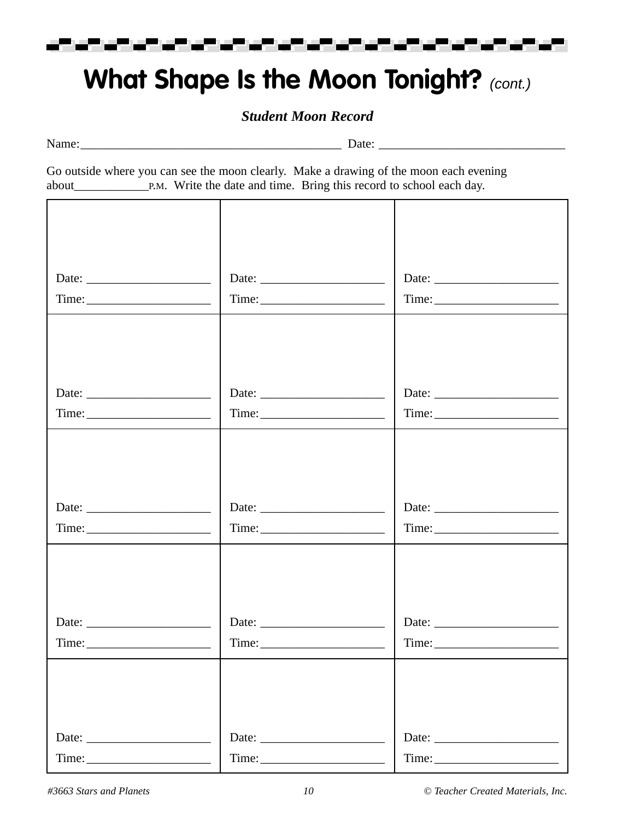りんしょう しんしん しんしん しんしんしん しんしんしんしん

## **What Shape Is the Moon Tonight?** (cont.)

*Student Moon Record*

Name:\_\_\_\_\_\_\_\_\_\_\_\_\_\_\_\_\_\_\_\_\_\_\_\_\_\_\_\_\_\_\_\_\_\_\_\_\_\_\_\_\_\_ Date: \_\_\_\_\_\_\_\_\_\_\_\_\_\_\_\_\_\_\_\_\_\_\_\_\_\_\_\_\_\_

Go outside where you can see the moon clearly. Make a drawing of the moon each evening about\_\_\_\_\_\_\_\_\_\_\_\_P.M. Write the date and time. Bring this record to school each day.

| Time: |
|-------|
|       |
| Time: |
| Time: |
| Time: |
|       |